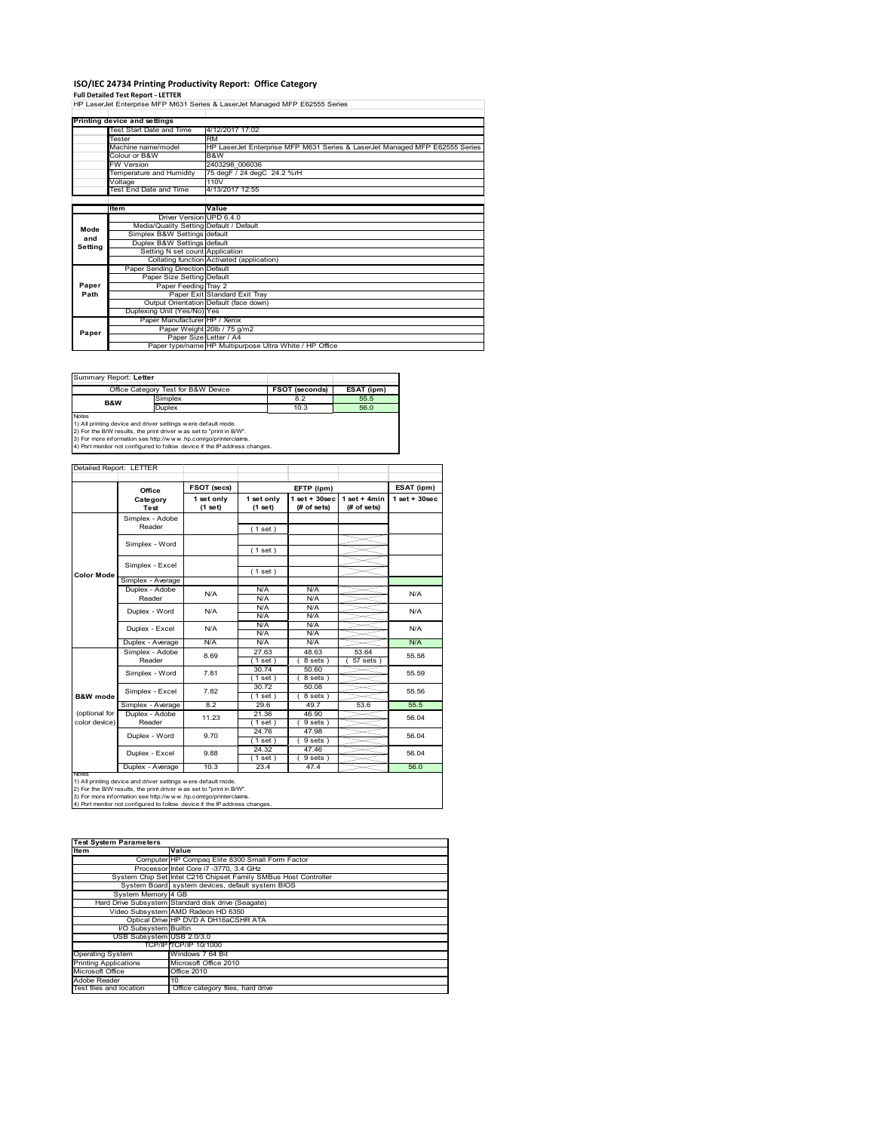# **ISO/IEC 24734 Printing Productivity Report: Office Category<br>Full Detailed Test Report - LETTER<br>HP LaserJet Enterprise MFP M631 Series & LaserJet Managed MFP E62555 Series**

|         | Printing device and settings            |                                                                             |  |  |  |  |
|---------|-----------------------------------------|-----------------------------------------------------------------------------|--|--|--|--|
|         | Test Start Date and Time                | 4/12/2017 17:02                                                             |  |  |  |  |
|         | Tester                                  | <b>RM</b>                                                                   |  |  |  |  |
|         | Machine name/model                      | HP LaserJet Enterprise MFP M631 Series & LaserJet Managed MFP E62555 Series |  |  |  |  |
|         | Colour or B&W                           | B&W                                                                         |  |  |  |  |
|         | <b>FW Version</b>                       | 2403298 006036                                                              |  |  |  |  |
|         | Temperature and Humidity                | 75 degF / 24 degC 24.2 %rH                                                  |  |  |  |  |
|         | Voltage                                 | 110V                                                                        |  |  |  |  |
|         | Test End Date and Time                  | 4/13/2017 12:55                                                             |  |  |  |  |
|         |                                         |                                                                             |  |  |  |  |
|         | Item                                    | Value                                                                       |  |  |  |  |
|         | Driver Version UPD 6.4.0                |                                                                             |  |  |  |  |
| Mode    | Media/Quality Setting Default / Default |                                                                             |  |  |  |  |
| and     | Simplex B&W Settings default            |                                                                             |  |  |  |  |
| Setting | Duplex B&W Settings default             |                                                                             |  |  |  |  |
|         | Setting N set count Application         |                                                                             |  |  |  |  |
|         |                                         | Collating function Activated (application)                                  |  |  |  |  |
|         | Paper Sending Direction Default         |                                                                             |  |  |  |  |
|         | Paper Size Setting Default              |                                                                             |  |  |  |  |
| Paper   | Paper Feeding Tray 2                    |                                                                             |  |  |  |  |
| Path    |                                         | Paper Exit Standard Exit Tray                                               |  |  |  |  |
|         |                                         | Output Orientation Default (face down)                                      |  |  |  |  |
|         | Duplexing Unit (Yes/No) Yes             |                                                                             |  |  |  |  |
|         | Paper Manufacturer HP / Xerox           |                                                                             |  |  |  |  |
| Paper   |                                         | Paper Weight 20lb / 75 g/m2                                                 |  |  |  |  |
|         | Paper Size Letter / A4                  |                                                                             |  |  |  |  |
|         |                                         | Paper type/name HP Multipurpose Ultra White / HP Office                     |  |  |  |  |

Summary Report: **Letter**

|                | Office Category Test for B&W Device                           | <b>FSOT (seconds)</b> | ESAT (ipm) |  |  |  |  |
|----------------|---------------------------------------------------------------|-----------------------|------------|--|--|--|--|
| <b>B&amp;W</b> | Simplex                                                       | 8.2                   | 55.5       |  |  |  |  |
|                | Duplex                                                        | 10.3                  | 56.0       |  |  |  |  |
| <b>Notes</b>   |                                                               |                       |            |  |  |  |  |
|                | 1) All printing device and driver settings were default mode. |                       |            |  |  |  |  |

1) All printing device and driver settings were default mode.<br>2) For the B/W results, the print driver was set to "print in B/W".<br>3) For more information see http://www.hp.com/go/printerclaims.<br>4) Port monitor not configur

#### Detailed Report: LETTER

|                                | Office                    | FSOT (secs)           |                       | EFTP (ipm)                      |                               | ESAT (ipm)         |
|--------------------------------|---------------------------|-----------------------|-----------------------|---------------------------------|-------------------------------|--------------------|
|                                | Category<br>Test          | 1 set only<br>(1 set) | 1 set only<br>(1 set) | $1$ set + 30sec<br>$#$ of sets) | $1$ set + 4min<br>(# of sets) | $1$ set + $30$ sec |
|                                | Simplex - Adobe<br>Reader |                       | (1 set)               |                                 |                               |                    |
|                                | Simplex - Word            |                       | (1 set)               |                                 |                               |                    |
| Color Mode                     | Simplex - Excel           |                       | (1 set)               |                                 |                               |                    |
|                                | Simplex - Average         |                       |                       |                                 |                               |                    |
|                                | Duplex - Adobe<br>Reader  | N/A                   | N/A<br>N/A            | N/A<br>N/A                      |                               | N/A                |
|                                | Duplex - Word             | N/A                   | N/A<br>N/A            | N/A<br>N/A                      |                               | N/A                |
|                                | Duplex - Excel            | N/A                   | N/A<br>N/A            | N/A<br>N/A                      |                               | N/A                |
|                                | Duplex - Average          | N/A                   | N/A                   | N/A                             |                               | N/A                |
|                                | Simplex - Adobe<br>Reader | 8.69                  | 27.63<br>$1$ set)     | 48.63<br>8 sets)                | 53.64<br>$57$ sets $)$        | 55.58              |
|                                | Simplex - Word            | 7.81                  | 30.74<br>(1 set)      | 50.60<br>8 sets)                |                               | 55.59              |
| <b>B&amp;W</b> mode            | Simplex - Excel           | 7.82                  | 30.72<br>$1$ set $)$  | 50.08<br>8 sets)                |                               | 55.56              |
|                                | Simplex - Average         | 8.2                   | 29.6                  | 49.7                            | 53.6                          | 55.5               |
| (optional for<br>color device) | Duplex - Adobe<br>Reader  | 11.23                 | 21.36<br>$1$ set $)$  | 46.90<br>9 sets)                |                               | 56.04              |
|                                | Duplex - Word             | 9.70                  | 24.76<br>$1$ set)     | 47.98<br>9 sets)                |                               | 56.04              |
|                                | Duplex - Excel            | 9.88                  | 24.32<br>$1$ set)     | 47.46<br>$9 sets$ )             |                               | 56.04              |
|                                | Duplex - Average          | 10.3                  | 23.4                  | 47.4                            |                               | 56.0               |

Notes<br>1) All printing device and driver settings were default mode.<br>2) For the B/W results, the print driver was set to "print in B/W".<br>3) For more information see http://www.hp.com/go/printerclaims.<br>4) Por more informati

| <b>Test System Parameters</b> |                                                                 |  |  |  |  |
|-------------------------------|-----------------------------------------------------------------|--|--|--|--|
| Item                          | Value                                                           |  |  |  |  |
|                               | Computer HP Compaq Elite 8300 Small Form Factor                 |  |  |  |  |
|                               | Processor Intel Core i7 -3770, 3.4 GHz                          |  |  |  |  |
|                               | System Chip Set Intel C216 Chipset Family SMBus Host Controller |  |  |  |  |
|                               | System Board system devices, default system BIOS                |  |  |  |  |
| System Memory 4 GB            |                                                                 |  |  |  |  |
|                               | Hard Drive Subsystem Standard disk drive (Seagate)              |  |  |  |  |
|                               | Video Subsystem AMD Radeon HD 6350                              |  |  |  |  |
|                               | Optical Drive HP DVD A DH16aCSHR ATA                            |  |  |  |  |
| I/O Subsystem Builtin         |                                                                 |  |  |  |  |
| USB Subsystem USB 2.0/3.0     |                                                                 |  |  |  |  |
|                               | TCP/IP TCP/IP 10/1000                                           |  |  |  |  |
| <b>Operating System</b>       | Windows 7 64 Bit                                                |  |  |  |  |
| <b>Printing Applications</b>  | Microsoft Office 2010                                           |  |  |  |  |
| Microsoft Office              | Office 2010                                                     |  |  |  |  |
| Adobe Reader                  | 10                                                              |  |  |  |  |
| Test files and location       | Office category files, hard drive                               |  |  |  |  |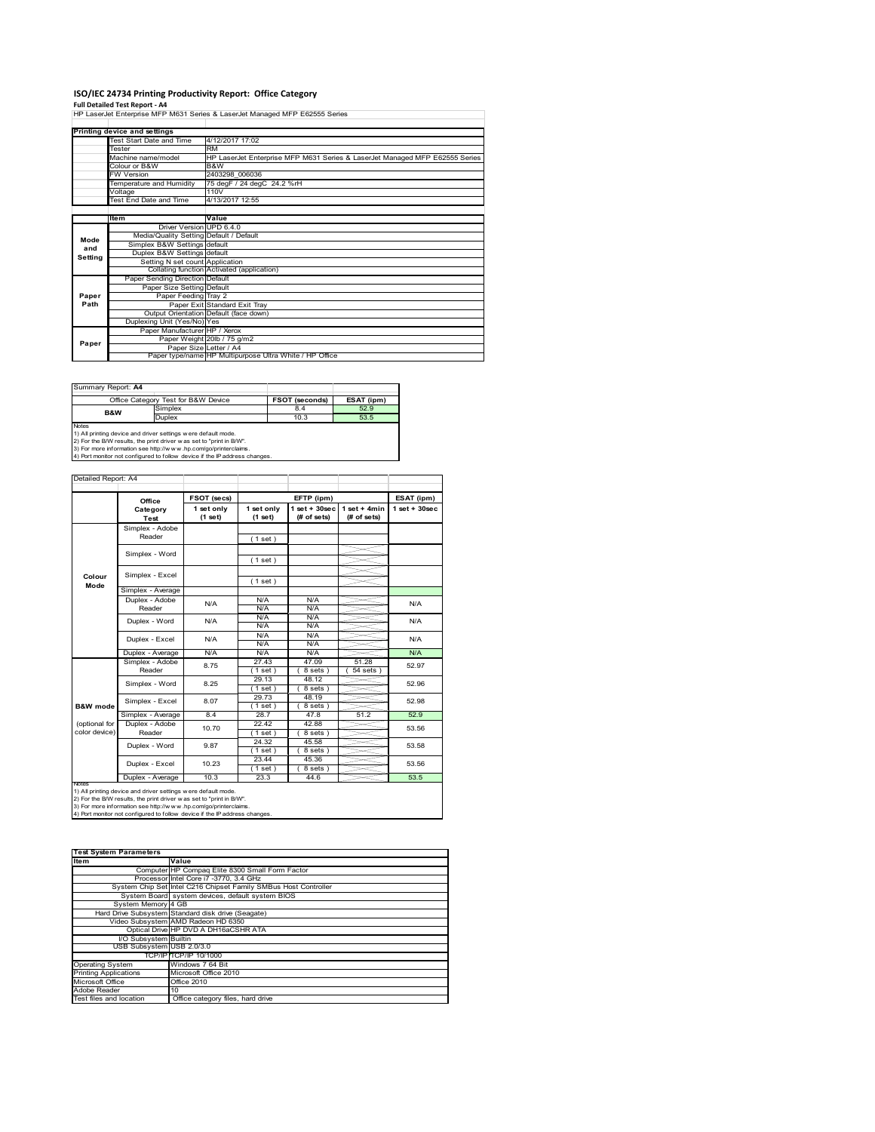# **ISO/IEC 24734 Printing Productivity Report: Office Category Full Detailed Test Report ‐ A4**

|               | HP LaserJet Enterprise MFP M631 Series & LaserJet Managed MFP E62555 Series |                                                                             |  |  |  |
|---------------|-----------------------------------------------------------------------------|-----------------------------------------------------------------------------|--|--|--|
|               |                                                                             |                                                                             |  |  |  |
|               | Printing device and settings                                                |                                                                             |  |  |  |
|               | Test Start Date and Time                                                    | 4/12/2017 17:02                                                             |  |  |  |
|               | Tester                                                                      | <b>RM</b>                                                                   |  |  |  |
|               | Machine name/model                                                          | HP LaserJet Enterprise MFP M631 Series & LaserJet Managed MFP E62555 Series |  |  |  |
|               | Colour or B&W                                                               | B&W                                                                         |  |  |  |
|               | <b>FW Version</b>                                                           | 2403298 006036                                                              |  |  |  |
|               | Temperature and Humidity                                                    | 75 degF / 24 degC 24.2 %rH                                                  |  |  |  |
|               | Voltage                                                                     | 110V                                                                        |  |  |  |
|               | Test End Date and Time                                                      | 4/13/2017 12:55                                                             |  |  |  |
|               |                                                                             |                                                                             |  |  |  |
|               | Item                                                                        | Value                                                                       |  |  |  |
|               | Driver Version UPD 6.4.0                                                    |                                                                             |  |  |  |
| Mode          | Media/Quality Setting Default / Default                                     |                                                                             |  |  |  |
| and           | Simplex B&W Settings default                                                |                                                                             |  |  |  |
| Setting       | Duplex B&W Settings default                                                 |                                                                             |  |  |  |
|               | Setting N set count Application                                             |                                                                             |  |  |  |
|               |                                                                             | Collating function Activated (application)                                  |  |  |  |
|               | Paper Sending Direction Default                                             |                                                                             |  |  |  |
|               | Paper Size Setting Default                                                  |                                                                             |  |  |  |
| Paper<br>Path | Paper Feeding Tray 2                                                        |                                                                             |  |  |  |
|               |                                                                             | Paper Exit Standard Exit Tray                                               |  |  |  |
|               | Duplexing Unit (Yes/No) Yes                                                 | Output Orientation Default (face down)                                      |  |  |  |
|               | Paper Manufacturer HP / Xerox                                               |                                                                             |  |  |  |
|               |                                                                             | Paper Weight 20lb / 75 g/m2                                                 |  |  |  |
| Paper         |                                                                             | Paper Size Letter / A4                                                      |  |  |  |
|               |                                                                             | Paper type/name HP Multipurpose Ultra White / HP Office                     |  |  |  |

| Summary Report: A4                                                                 |                                                                                                                                      |                       |            |  |  |  |  |
|------------------------------------------------------------------------------------|--------------------------------------------------------------------------------------------------------------------------------------|-----------------------|------------|--|--|--|--|
|                                                                                    | Office Category Test for B&W Device                                                                                                  | <b>FSOT (seconds)</b> | ESAT (ipm) |  |  |  |  |
| <b>B&amp;W</b>                                                                     | Simplex                                                                                                                              | 8.4                   | 52.9       |  |  |  |  |
|                                                                                    | <b>Duplex</b>                                                                                                                        | 10.3                  | 53.5       |  |  |  |  |
| <b>Notes</b><br>2) Ear more information can letter/hereou by coming industry-plans | 1) All printing device and driver settings were default mode.<br>2) For the B/W results, the print driver was set to "print in B/W". |                       |            |  |  |  |  |

3) For more information see http://w w w .hp.com/go/printerclaims. 4) Port monitor not configured to follow device if the IP address changes.

|                     | Office                  | FSOT (secs)           |                       | ESAT (ipm)                     |                               |                    |  |
|---------------------|-------------------------|-----------------------|-----------------------|--------------------------------|-------------------------------|--------------------|--|
|                     | Category<br><b>Test</b> | 1 set only<br>(1 set) | 1 set only<br>(1 set) | $1$ set + 30sec<br>(# of sets) | $1$ set + 4min<br>(# of sets) | $1$ set + $30$ sec |  |
|                     | Simplex - Adobe         |                       |                       |                                |                               |                    |  |
|                     | Reader                  |                       | (1 set)               |                                |                               |                    |  |
|                     | Simplex - Word          |                       |                       |                                |                               |                    |  |
|                     |                         |                       | (1 set)               |                                |                               |                    |  |
|                     | Simplex - Excel         |                       |                       |                                |                               |                    |  |
| Colour<br>Mode      |                         |                       | (1 set)               |                                |                               |                    |  |
|                     | Simplex - Average       |                       |                       |                                |                               |                    |  |
|                     | Duplex - Adobe          | N/A                   | N/A                   | N/A                            |                               | N/A                |  |
|                     | Reader                  |                       | N/A                   | N/A                            |                               |                    |  |
|                     | Duplex - Word           | N/A                   | N/A                   | N/A                            |                               | N/A                |  |
|                     |                         |                       | N/A                   | N/A                            |                               |                    |  |
|                     | Duplex - Excel          | N/A                   | N/A                   | N/A                            |                               | N/A                |  |
|                     |                         |                       | N/A                   | N/A                            |                               |                    |  |
|                     | Duplex - Average        | N/A                   | N/A                   | N/A                            |                               | N/A                |  |
|                     | Simplex - Adobe         | 8.75                  | 27.43                 | 47.09                          | 51.28                         | 52.97              |  |
|                     | Reader                  |                       | (1 set )              | 8 sets)                        | $54$ sets $)$                 |                    |  |
|                     | Simplex - Word          | 8.25                  | 29.13                 | 48.12                          |                               | 52.96<br>52.98     |  |
|                     |                         |                       | $1$ set)              | 8 sets)                        |                               |                    |  |
|                     | Simplex - Excel         | 8.07                  | 29.73                 | 48.19                          |                               |                    |  |
| <b>B&amp;W</b> mode |                         |                       | (1 set )              | 8 sets)                        |                               |                    |  |
|                     | Simplex - Average       | 8.4                   | 28.7                  | 47.8                           | 51.2                          | 52.9               |  |
| (optional for       | Duplex - Adobe          | 10.70                 | 22.42                 | 42.88                          |                               | 53.56              |  |
| color device)       | Reader                  |                       | $1$ set)              | 8 sets)                        |                               |                    |  |
|                     | Duplex - Word           | 9.87                  | 24.32                 | 45.58                          |                               | 53.58              |  |
|                     |                         |                       | (1 set)               | 8 sets)                        |                               |                    |  |
|                     | Duplex - Excel          | 10.23                 | 23.44                 | 45.36                          |                               | 53.56              |  |
|                     |                         |                       | $1$ set)              | 8 sets)                        |                               |                    |  |
| <b>IVOIES</b>       | Duplex - Average        | 10.3                  | 23.3                  | 44.6                           |                               | 53.5               |  |

| <b>Test System Parameters</b>                                   |  |  |  |  |  |
|-----------------------------------------------------------------|--|--|--|--|--|
|                                                                 |  |  |  |  |  |
| Value                                                           |  |  |  |  |  |
| Computer HP Compaq Elite 8300 Small Form Factor                 |  |  |  |  |  |
| Processor Intel Core i7 -3770, 3.4 GHz                          |  |  |  |  |  |
| System Chip Set Intel C216 Chipset Family SMBus Host Controller |  |  |  |  |  |
| System Board system devices, default system BIOS                |  |  |  |  |  |
| System Memory 4 GB                                              |  |  |  |  |  |
| Hard Drive Subsystem Standard disk drive (Seagate)              |  |  |  |  |  |
| Video Subsystem AMD Radeon HD 6350                              |  |  |  |  |  |
| Optical Drive HP DVD A DH16aCSHR ATA                            |  |  |  |  |  |
| I/O Subsystem Builtin                                           |  |  |  |  |  |
| USB Subsystem USB 2.0/3.0                                       |  |  |  |  |  |
| TCP/IPITCP/IP 10/1000                                           |  |  |  |  |  |
| Windows 7 64 Bit                                                |  |  |  |  |  |
| Microsoft Office 2010                                           |  |  |  |  |  |
| Office 2010                                                     |  |  |  |  |  |
| 10                                                              |  |  |  |  |  |
| Office category files, hard drive                               |  |  |  |  |  |
|                                                                 |  |  |  |  |  |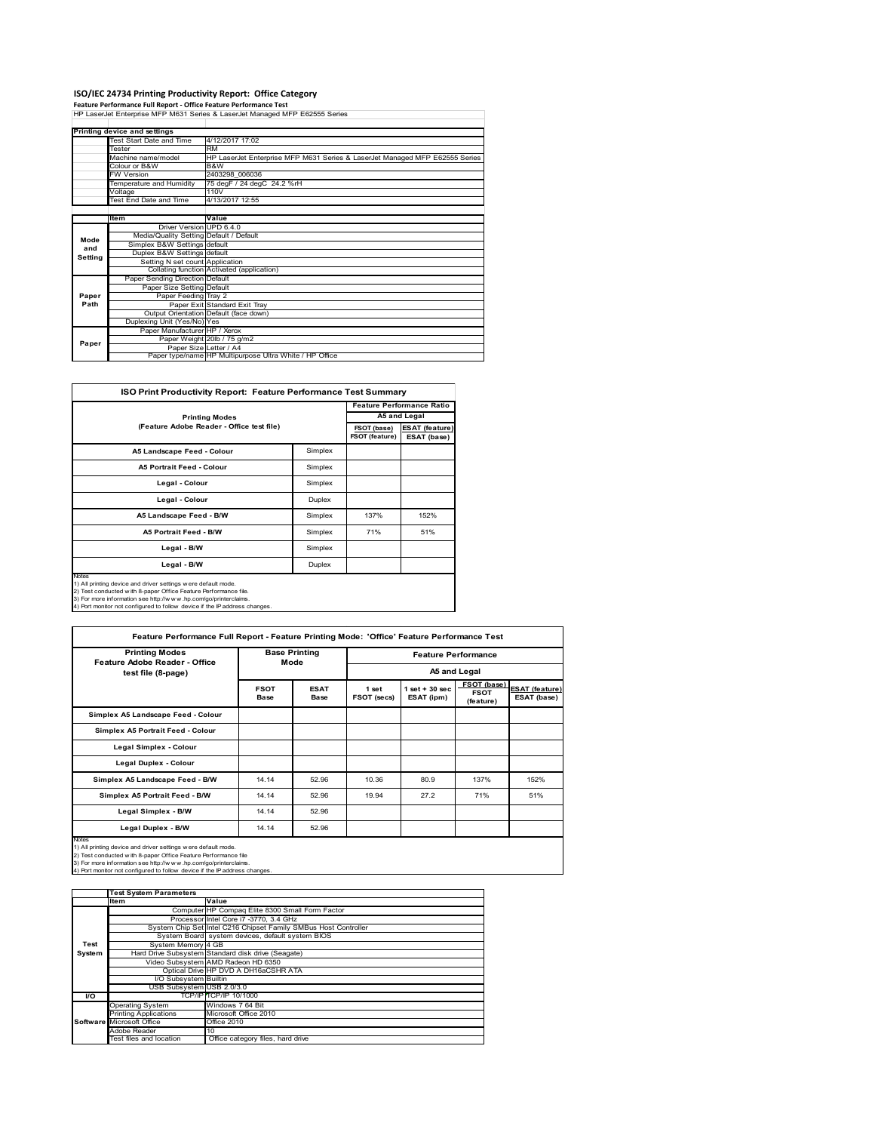**ISO/IEC 24734 Printing Productivity Report: Office Category<br>Feature Performance Full Report - Office Feature Performance Test<br>HP LaserJet Enterprise MFP M631 Series & LaserJet Managed MFP E62555 Series** 

|         | Printing device and settings            |                                                                             |
|---------|-----------------------------------------|-----------------------------------------------------------------------------|
|         | Test Start Date and Time                | 4/12/2017 17:02                                                             |
|         | Tester                                  | <b>RM</b>                                                                   |
|         | Machine name/model                      | HP LaserJet Enterprise MFP M631 Series & LaserJet Managed MFP E62555 Series |
|         | Colour or B&W                           | B&W                                                                         |
|         | <b>FW Version</b>                       | 2403298 006036                                                              |
|         | Temperature and Humidity                | 75 degF / 24 degC 24.2 %rH                                                  |
|         | Voltage                                 | 110V                                                                        |
|         | <b>Fest End Date and Time</b>           | 4/13/2017 12:55                                                             |
|         |                                         |                                                                             |
|         | ltem                                    | Value                                                                       |
|         | Driver Version UPD 6.4.0                |                                                                             |
| Mode    | Media/Quality Setting Default / Default |                                                                             |
| and     | Simplex B&W Settings default            |                                                                             |
| Setting | Duplex B&W Settings default             |                                                                             |
|         | Setting N set count Application         |                                                                             |
|         |                                         | Collating function Activated (application)                                  |
|         | Paper Sending Direction Default         |                                                                             |
|         | Paper Size Setting Default              |                                                                             |
| Paper   | Paper Feeding Tray 2                    |                                                                             |
| Path    |                                         | Paper Exit Standard Exit Tray                                               |
|         |                                         | Output Orientation Default (face down)                                      |
|         | Duplexing Unit (Yes/No) Yes             |                                                                             |
|         | Paper Manufacturer HP / Xerox           |                                                                             |
| Paper   |                                         | Paper Weight 20lb / 75 g/m2                                                 |
|         | Paper Size Letter / A4                  |                                                                             |
|         |                                         | Paper type/name HP Multipurpose Ultra White / HP Office                     |

| <b>ISO Print Productivity Report: Feature Performance Test Summary</b>                                                                                                                                                                                                                               |                                  |                               |                                      |  |  |  |
|------------------------------------------------------------------------------------------------------------------------------------------------------------------------------------------------------------------------------------------------------------------------------------------------------|----------------------------------|-------------------------------|--------------------------------------|--|--|--|
|                                                                                                                                                                                                                                                                                                      | <b>Feature Performance Ratio</b> |                               |                                      |  |  |  |
| <b>Printing Modes</b>                                                                                                                                                                                                                                                                                |                                  |                               | A5 and Legal                         |  |  |  |
| (Feature Adobe Reader - Office test file)                                                                                                                                                                                                                                                            |                                  | FSOT (base)<br>FSOT (feature) | <b>ESAT (feature)</b><br>ESAT (base) |  |  |  |
| A5 Landscape Feed - Colour                                                                                                                                                                                                                                                                           | Simplex                          |                               |                                      |  |  |  |
| <b>A5 Portrait Feed - Colour</b>                                                                                                                                                                                                                                                                     | Simplex                          |                               |                                      |  |  |  |
| Legal - Colour                                                                                                                                                                                                                                                                                       | Simplex                          |                               |                                      |  |  |  |
| Legal - Colour                                                                                                                                                                                                                                                                                       | Duplex                           |                               |                                      |  |  |  |
| A5 Landscape Feed - B/W                                                                                                                                                                                                                                                                              | Simplex                          | 137%                          | 152%                                 |  |  |  |
| <b>A5 Portrait Feed - B/W</b>                                                                                                                                                                                                                                                                        | Simplex                          | 71%                           | 51%                                  |  |  |  |
| Legal - B/W                                                                                                                                                                                                                                                                                          | Simplex                          |                               |                                      |  |  |  |
| Legal - B/W                                                                                                                                                                                                                                                                                          | Duplex                           |                               |                                      |  |  |  |
| <b>Notes</b><br>1) All printing device and driver settings were default mode.<br>2) Test conducted with 8-paper Office Feature Performance file.<br>3) For more information see http://w w w .hp.com/go/printerclaims.<br>4) Port monitor not configured to follow device if the IP address changes. |                                  |                               |                                      |  |  |  |

| <b>Printing Modes</b><br>Feature Adobe Reader - Office                                                                                                                                                                                                                                    | <b>Base Printing</b><br>Mode |                            | <b>Feature Performance</b> |                                |                                         |                                      |
|-------------------------------------------------------------------------------------------------------------------------------------------------------------------------------------------------------------------------------------------------------------------------------------------|------------------------------|----------------------------|----------------------------|--------------------------------|-----------------------------------------|--------------------------------------|
| test file (8-page)                                                                                                                                                                                                                                                                        |                              |                            | A5 and Legal               |                                |                                         |                                      |
|                                                                                                                                                                                                                                                                                           | <b>FSOT</b><br><b>Base</b>   | <b>ESAT</b><br><b>Base</b> | 1 set<br>FSOT (secs)       | $1$ set + 30 sec<br>ESAT (ipm) | FSOT (base)<br><b>FSOT</b><br>(feature) | <b>ESAT (feature)</b><br>ESAT (base) |
| Simplex A5 Landscape Feed - Colour                                                                                                                                                                                                                                                        |                              |                            |                            |                                |                                         |                                      |
| Simplex A5 Portrait Feed - Colour                                                                                                                                                                                                                                                         |                              |                            |                            |                                |                                         |                                      |
| <b>Legal Simplex - Colour</b>                                                                                                                                                                                                                                                             |                              |                            |                            |                                |                                         |                                      |
| Legal Duplex - Colour                                                                                                                                                                                                                                                                     |                              |                            |                            |                                |                                         |                                      |
| Simplex A5 Landscape Feed - B/W                                                                                                                                                                                                                                                           | 14.14                        | 52.96                      | 10.36                      | 80.9                           | 137%                                    | 152%                                 |
| Simplex A5 Portrait Feed - B/W                                                                                                                                                                                                                                                            | 14.14                        | 52.96                      | 19.94                      | 27.2                           | 71%                                     | 51%                                  |
| Legal Simplex - B/W                                                                                                                                                                                                                                                                       | 14.14                        | 52.96                      |                            |                                |                                         |                                      |
| Legal Duplex - B/W                                                                                                                                                                                                                                                                        | 14.14                        | 52.96                      |                            |                                |                                         |                                      |
| Notes<br>1) All printing device and driver settings were default mode.<br>2) Test conducted with 8-paper Office Feature Performance file<br>3) For more information see http://www.hp.com/go/printerclaims.<br>4) Port monitor not configured to follow device if the IP address changes. |                              |                            |                            |                                |                                         |                                      |

|                  | <b>Test System Parameters</b> |                                                                 |  |  |  |  |
|------------------|-------------------------------|-----------------------------------------------------------------|--|--|--|--|
|                  | <b>Item</b>                   | Value                                                           |  |  |  |  |
|                  |                               | Computer HP Compaq Elite 8300 Small Form Factor                 |  |  |  |  |
|                  |                               | Processor Intel Core i7 -3770, 3.4 GHz                          |  |  |  |  |
|                  |                               | System Chip Set Intel C216 Chipset Family SMBus Host Controller |  |  |  |  |
|                  |                               | System Board system devices, default system BIOS                |  |  |  |  |
| Test             | System Memory 4 GB            |                                                                 |  |  |  |  |
| System           |                               | Hard Drive Subsystem Standard disk drive (Seagate)              |  |  |  |  |
|                  |                               | Video Subsystem AMD Radeon HD 6350                              |  |  |  |  |
|                  |                               | Optical Drive HP DVD A DH16aCSHR ATA                            |  |  |  |  |
|                  | I/O Subsystem Builtin         |                                                                 |  |  |  |  |
|                  | USB Subsystem USB 2.0/3.0     |                                                                 |  |  |  |  |
| $\overline{1/O}$ |                               | TCP/IP TCP/IP 10/1000                                           |  |  |  |  |
|                  | <b>Operating System</b>       | Windows 7 64 Bit                                                |  |  |  |  |
|                  | <b>Printing Applications</b>  | Microsoft Office 2010                                           |  |  |  |  |
|                  | Software Microsoft Office     | <b>Office 2010</b>                                              |  |  |  |  |
|                  | Adobe Reader                  | 10                                                              |  |  |  |  |
|                  | Test files and location       | Office category files, hard drive                               |  |  |  |  |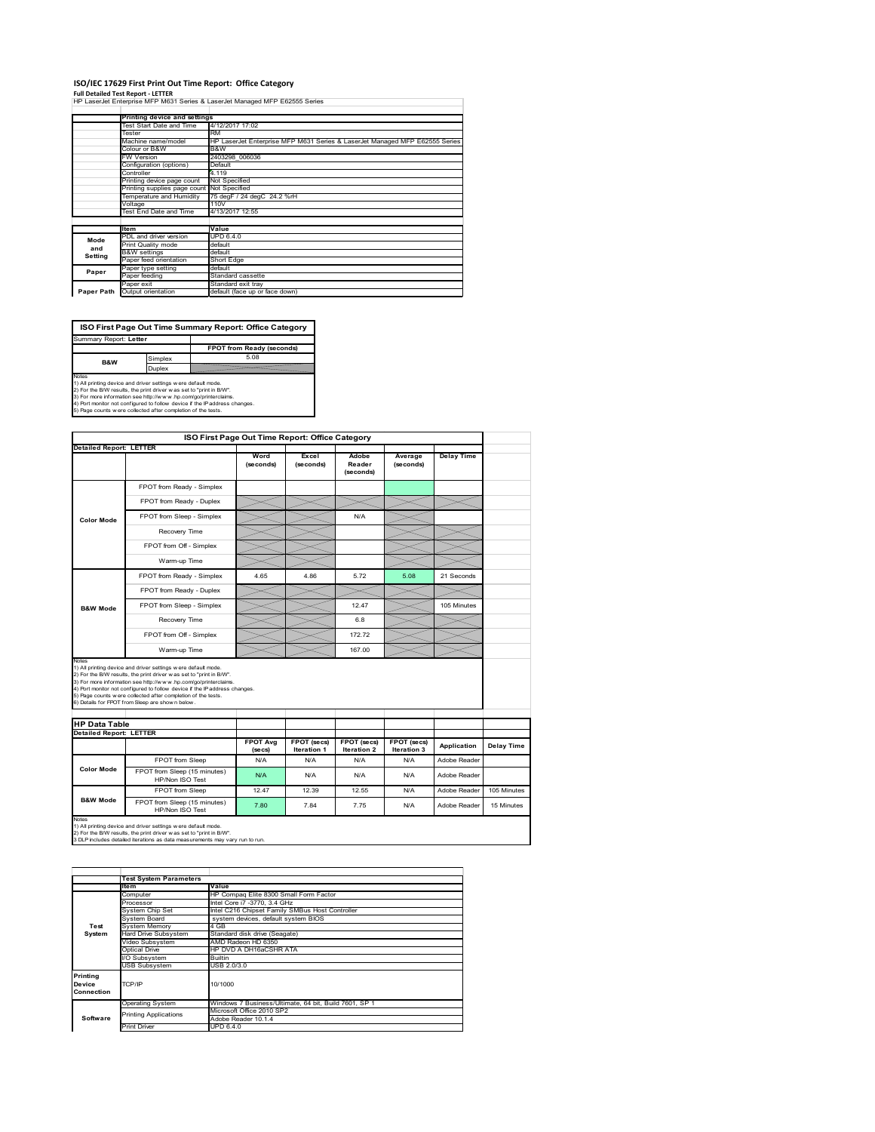#### **ISO/IEC 17629 First Print Out Time Report: Office Category**

**Full Detailed Test Report ‐ LETTER** HP LaserJet Enterprise MFP M631 Series & LaserJet Managed MFP E62555 Series

|            | Printing device and settings |                                                                             |
|------------|------------------------------|-----------------------------------------------------------------------------|
|            | Test Start Date and Time     | 4/12/2017 17:02                                                             |
|            | Tester                       | <b>RM</b>                                                                   |
|            | Machine name/model           | HP LaserJet Enterprise MFP M631 Series & LaserJet Managed MFP E62555 Series |
|            | Colour or B&W                | B&W                                                                         |
|            | <b>FW Version</b>            | 2403298 006036                                                              |
|            | Configuration (options)      | Default                                                                     |
|            | Controller                   | 4.119                                                                       |
|            | Printing device page count   | Not Specified                                                               |
|            | Printing supplies page count | Not Specified                                                               |
|            | Temperature and Humidity     | 75 degF / 24 degC 24.2 %rH                                                  |
|            | Voltage                      | 110V                                                                        |
|            | Test End Date and Time       | 4/13/2017 12:55                                                             |
|            |                              |                                                                             |
|            | <b>Item</b>                  | Value                                                                       |
| Mode       | PDL and driver version       | <b>UPD 6.4.0</b>                                                            |
| and        | Print Quality mode           | default                                                                     |
| Setting    | <b>B&amp;W</b> settings      | default                                                                     |
|            | Paper feed orientation       | Short Edge                                                                  |
| Paper      | Paper type setting           | default                                                                     |
|            | Paper feeding                | Standard cassette                                                           |
|            | Paper exit                   | Standard exit tray                                                          |
| Paper Path | Output orientation           | default (face up or face down)                                              |

٦

**ISO First Page Out Time Summary Report: Office Category** Summary Report: **Letter**

**FPOT from Ready (seconds)**<br>
Simplex 5.08 **B&W**

**Duplex**<br>
Notes<br>
1) All printing device and driver settings were default mode.<br>
2) For the BM reaults, the print driver was set to "print in BM".<br>
3) For more information see http://www.hp.com/golprinterclaims.<br>
4) Port mo

|                                |                                                                                                                                                                                                                                                                                                                                                                                                             | ISO First Page Out Time Report: Office Category |                                   |                              |                            |                   |             |
|--------------------------------|-------------------------------------------------------------------------------------------------------------------------------------------------------------------------------------------------------------------------------------------------------------------------------------------------------------------------------------------------------------------------------------------------------------|-------------------------------------------------|-----------------------------------|------------------------------|----------------------------|-------------------|-------------|
| <b>Detailed Report: LETTER</b> |                                                                                                                                                                                                                                                                                                                                                                                                             |                                                 |                                   |                              |                            |                   |             |
|                                |                                                                                                                                                                                                                                                                                                                                                                                                             | Word<br>(seconds)                               | Excel<br>(seconds)                | Adobe<br>Reader<br>(seconds) | Average<br>(seconds)       | <b>Delay Time</b> |             |
|                                | FPOT from Ready - Simplex                                                                                                                                                                                                                                                                                                                                                                                   |                                                 |                                   |                              |                            |                   |             |
|                                | FPOT from Ready - Duplex                                                                                                                                                                                                                                                                                                                                                                                    |                                                 |                                   |                              |                            |                   |             |
| <b>Color Mode</b>              | FPOT from Sleep - Simplex                                                                                                                                                                                                                                                                                                                                                                                   |                                                 |                                   | N/A                          |                            |                   |             |
|                                | Recovery Time                                                                                                                                                                                                                                                                                                                                                                                               |                                                 |                                   |                              |                            |                   |             |
|                                | FPOT from Off - Simplex                                                                                                                                                                                                                                                                                                                                                                                     |                                                 |                                   |                              |                            |                   |             |
|                                | Warm-up Time                                                                                                                                                                                                                                                                                                                                                                                                |                                                 |                                   |                              |                            |                   |             |
|                                | FPOT from Ready - Simplex                                                                                                                                                                                                                                                                                                                                                                                   | 4.65                                            | 4.86                              | 5.72                         | 5.08                       | 21 Seconds        |             |
|                                | FPOT from Ready - Duplex                                                                                                                                                                                                                                                                                                                                                                                    |                                                 |                                   |                              |                            |                   |             |
| <b>B&amp;W Mode</b>            | FPOT from Sleep - Simplex                                                                                                                                                                                                                                                                                                                                                                                   |                                                 |                                   | 12.47                        |                            | 105 Minutes       |             |
|                                |                                                                                                                                                                                                                                                                                                                                                                                                             |                                                 |                                   |                              |                            |                   |             |
|                                | Recovery Time                                                                                                                                                                                                                                                                                                                                                                                               |                                                 |                                   | 6.8                          |                            |                   |             |
|                                | FPOT from Off - Simplex                                                                                                                                                                                                                                                                                                                                                                                     |                                                 |                                   | 17272                        |                            |                   |             |
| Notes                          | Warm-up Time                                                                                                                                                                                                                                                                                                                                                                                                |                                                 |                                   | 167.00                       |                            |                   |             |
| <b>HP Data Table</b>           | 1) All printing device and driver settings w ere default mode.<br>2) For the B/W results, the print driver was set to "print in B/W".<br>3) For more information see http://www.hp.com/go/printerclaims.<br>4) Port monitor not configured to follow device if the IP address changes.<br>5) Page counts w ere collected after completion of the tests.<br>6) Details for FPOT from Sleep are show n below. |                                                 |                                   |                              |                            |                   |             |
| <b>Detailed Report: LETTER</b> |                                                                                                                                                                                                                                                                                                                                                                                                             |                                                 |                                   |                              |                            |                   |             |
|                                |                                                                                                                                                                                                                                                                                                                                                                                                             | <b>FPOT Ava</b><br>(se cs)                      | FPOT (secs)<br><b>Iteration 1</b> | FPOT (secs)<br>Iteration 2   | FPOT (secs)<br>Iteration 3 | Application       | Delay Time  |
|                                | FPOT from Sleep                                                                                                                                                                                                                                                                                                                                                                                             | N/A                                             | N/A                               | N/A                          | N/A                        | Adobe Reader      |             |
| <b>Color Mode</b>              | FPOT from Sleep (15 minutes)<br>HP/Non ISO Test                                                                                                                                                                                                                                                                                                                                                             | N/A                                             | N/A                               | N/A                          | N/A                        | Adobe Reader      |             |
| <b>B&amp;W Mode</b>            | <b>FPOT from Sleep</b>                                                                                                                                                                                                                                                                                                                                                                                      | 12.47                                           | 12.39                             | 12.55                        | N/A                        | Adobe Reader      | 105 Minutes |

1) All printing device and driver settings w ere default mode.<br>2) For the B/W results, the print driver w as set to "print in B/W".<br>3 DLP includes detailed iterations as data measurements may vary run to run.

|            | <b>Test System Parameters</b> |                                                       |  |  |  |  |
|------------|-------------------------------|-------------------------------------------------------|--|--|--|--|
|            |                               |                                                       |  |  |  |  |
|            | ltem                          | Value                                                 |  |  |  |  |
|            | Computer                      | HP Compag Elite 8300 Small Form Factor                |  |  |  |  |
|            | Processor                     | Intel Core i7 -3770, 3.4 GHz                          |  |  |  |  |
|            | System Chip Set               | Intel C216 Chipset Family SMBus Host Controller       |  |  |  |  |
|            | System Board                  | system devices, default system BIOS                   |  |  |  |  |
| Test       | <b>System Memory</b>          | 4 GB                                                  |  |  |  |  |
| System     | <b>Hard Drive Subsystem</b>   | Standard disk drive (Seagate)                         |  |  |  |  |
|            | Video Subsystem               | AMD Radeon HD 6350                                    |  |  |  |  |
|            | Optical Drive                 | HP DVD A DH16aCSHR ATA                                |  |  |  |  |
|            | I/O Subsystem                 | <b>Builtin</b>                                        |  |  |  |  |
|            | <b>USB Subsystem</b>          | USB 2.0/3.0                                           |  |  |  |  |
| Printina   |                               |                                                       |  |  |  |  |
| Device     | TCP/IP                        | 10/1000                                               |  |  |  |  |
| Connection |                               |                                                       |  |  |  |  |
|            | <b>Operating System</b>       | Windows 7 Business/Ultimate, 64 bit, Build 7601, SP 1 |  |  |  |  |
|            | <b>Printing Applications</b>  | Microsoft Office 2010 SP2                             |  |  |  |  |
| Software   |                               | Adobe Reader 10.1.4                                   |  |  |  |  |
|            | <b>Print Driver</b>           | UPD 6.4.0                                             |  |  |  |  |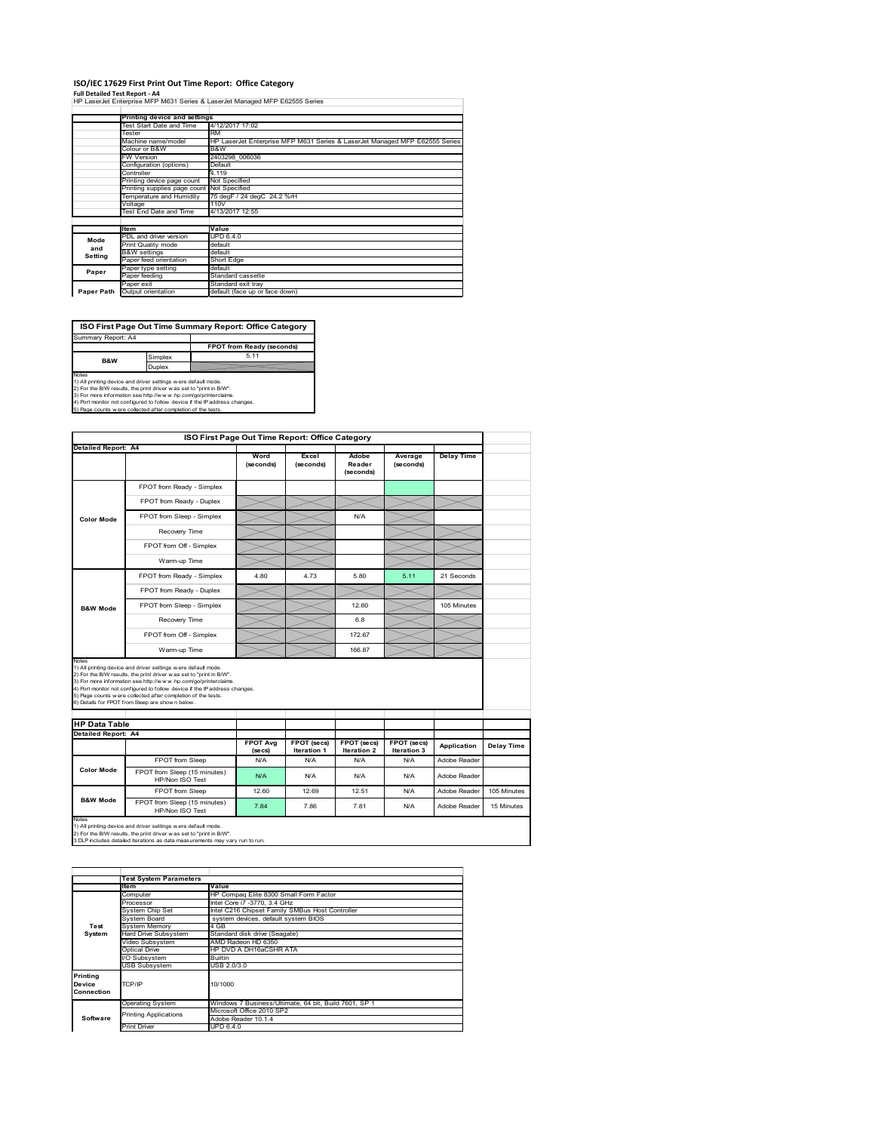### **ISO/IEC 17629 First Print Out Time Report: Office Category**

**Full Detailed Test Report ‐ A4** HP LaserJet Enterprise MFP M631 Series & LaserJet Managed MFP E62555 Series

|            | Printing device and settings |                                                                             |
|------------|------------------------------|-----------------------------------------------------------------------------|
|            | Test Start Date and Time     | 4/12/2017 17:02                                                             |
|            | Tester                       | <b>RM</b>                                                                   |
|            | Machine name/model           | HP LaserJet Enterprise MFP M631 Series & LaserJet Managed MFP E62555 Series |
|            | Colour or B&W                | B&W                                                                         |
|            | <b>FW Version</b>            | 2403298 006036                                                              |
|            | Configuration (options)      | Default                                                                     |
|            | Controller                   | 4.119                                                                       |
|            | Printing device page count   | Not Specified                                                               |
|            | Printing supplies page count | Not Specified                                                               |
|            | Temperature and Humidity     | 75 degF / 24 degC 24.2 %rH                                                  |
|            | Voltage                      | 110V                                                                        |
|            | Test End Date and Time       | 4/13/2017 12:55                                                             |
|            |                              |                                                                             |
|            | <b>Item</b>                  | Value                                                                       |
| Mode       | PDL and driver version       | <b>UPD 6.4.0</b>                                                            |
| and        | Print Quality mode           | default                                                                     |
| Setting    | <b>B&amp;W</b> settings      | default                                                                     |
|            | Paper feed orientation       | Short Edge                                                                  |
| Paper      | Paper type setting           | default                                                                     |
|            | Paper feeding                | Standard cassette                                                           |
|            | Paper exit                   | Standard exit tray                                                          |
| Paper Path | Output orientation           | default (face up or face down)                                              |

÷,

**ISO First Page Out Time Summary Report: Office Category**

**FPOT from Ready (seconds)** Simplex 5.11 **Duplex** Notes<br>1) All printing device and driver settings were default mode.<br>2) For the BAV results, the print driver was set to "print in BAV".<br>3) For more information see http://www.hp.com/golprinterclaims.<br>4) Port monitor not co Summary Report: A4 **B&W**

|                            |                                                                                                                                                                                                                                                                                                                                                                                                             | ISO First Page Out Time Report: Office Category |                           |                              |                      |                             |                   |
|----------------------------|-------------------------------------------------------------------------------------------------------------------------------------------------------------------------------------------------------------------------------------------------------------------------------------------------------------------------------------------------------------------------------------------------------------|-------------------------------------------------|---------------------------|------------------------------|----------------------|-----------------------------|-------------------|
| <b>Detailed Report: A4</b> |                                                                                                                                                                                                                                                                                                                                                                                                             | Word<br>(seconds)                               | Excel<br>(seconds)        | Adobe<br>Reader<br>(seconds) | Average<br>(seconds) | <b>Delay Time</b>           |                   |
|                            | FPOT from Ready - Simplex                                                                                                                                                                                                                                                                                                                                                                                   |                                                 |                           |                              |                      |                             |                   |
|                            | FPOT from Ready - Duplex                                                                                                                                                                                                                                                                                                                                                                                    |                                                 |                           |                              |                      |                             |                   |
| <b>Color Mode</b>          | FPOT from Sleep - Simplex                                                                                                                                                                                                                                                                                                                                                                                   |                                                 |                           | N/A                          |                      |                             |                   |
|                            | Recovery Time                                                                                                                                                                                                                                                                                                                                                                                               |                                                 |                           |                              |                      |                             |                   |
|                            | FPOT from Off - Simplex                                                                                                                                                                                                                                                                                                                                                                                     |                                                 |                           |                              |                      |                             |                   |
|                            | Warm-up Time                                                                                                                                                                                                                                                                                                                                                                                                |                                                 |                           |                              |                      |                             |                   |
|                            | FPOT from Ready - Simplex                                                                                                                                                                                                                                                                                                                                                                                   | 4.80                                            | 4.73                      | 5.80                         | 5.11                 | 21 Seconds                  |                   |
|                            | FPOT from Ready - Duplex                                                                                                                                                                                                                                                                                                                                                                                    |                                                 |                           |                              |                      |                             |                   |
| <b>B&amp;W Mode</b>        | FPOT from Sleep - Simplex                                                                                                                                                                                                                                                                                                                                                                                   |                                                 |                           | 12.60                        |                      | 105 Minutes                 |                   |
|                            | Recovery Time                                                                                                                                                                                                                                                                                                                                                                                               |                                                 |                           | 6.8                          |                      |                             |                   |
|                            |                                                                                                                                                                                                                                                                                                                                                                                                             |                                                 |                           |                              |                      |                             |                   |
|                            | FPOT from Off - Simplex                                                                                                                                                                                                                                                                                                                                                                                     |                                                 |                           | 172.67                       |                      |                             |                   |
| Notes                      | Warm-up Time                                                                                                                                                                                                                                                                                                                                                                                                |                                                 |                           | 166.87                       |                      |                             |                   |
| <b>HP Data Table</b>       | 1) All printing device and driver settings w ere default mode.<br>2) For the B/W results, the print driver was set to "print in B/W".<br>3) For more information see http://www.hp.com/go/printerclaims.<br>4) Port monitor not configured to follow device if the IP address changes.<br>5) Page counts w ere collected after completion of the tests.<br>6) Details for FPOT from Sleep are show n below. |                                                 |                           |                              |                      |                             |                   |
|                            |                                                                                                                                                                                                                                                                                                                                                                                                             | <b>FPOT Avg</b>                                 | FPOT (secs)               | FPOT (secs)                  | FPOT (secs)          |                             |                   |
| Detailed Report: A4        |                                                                                                                                                                                                                                                                                                                                                                                                             | (se cs)<br>N/A                                  | <b>Iteration 1</b><br>N/A | <b>Iteration 2</b><br>N/A    | Iteration 3<br>N/A   | Application<br>Adobe Reader | <b>Delay Time</b> |
| <b>Color Mode</b>          | FPOT from Sleep<br>FPOT from Sleep (15 minutes)<br>HP/Non ISO Test                                                                                                                                                                                                                                                                                                                                          | N/A                                             | N/A                       | N/A                          | N/A                  | Adobe Reader                |                   |
| <b>B&amp;W Mode</b>        | FPOT from Sleep                                                                                                                                                                                                                                                                                                                                                                                             | 12.60                                           | 12.69                     | 12.51                        | N/A                  | Adobe Reader                | 105 Minutes       |

1) All printing device and driver settings w ere default mode.<br>2) For the B/W results, the print driver w as set to "print in B/W".<br>3 DLP includes detailed iterations as data measurements may vary run to run.

|                                         | <b>Test System Parameters</b> |                                                       |
|-----------------------------------------|-------------------------------|-------------------------------------------------------|
|                                         | <b>Item</b>                   | Value                                                 |
|                                         | Computer                      | HP Compag Elite 8300 Small Form Factor                |
|                                         | Processor                     | Intel Core i7 -3770, 3.4 GHz                          |
|                                         | System Chip Set               | Intel C216 Chipset Family SMBus Host Controller       |
|                                         | System Board                  | system devices, default system BIOS                   |
| Test                                    | <b>System Memory</b>          | 4 GB                                                  |
| System                                  | Hard Drive Subsystem          | Standard disk drive (Seagate)                         |
|                                         | Video Subsystem               | AMD Radeon HD 6350                                    |
|                                         | Optical Drive                 | HP DVD A DH16aCSHR ATA                                |
|                                         | I/O Subsystem                 | <b>Builtin</b>                                        |
|                                         | <b>USB Subsystem</b>          | USB 2.0/3.0                                           |
| <b>Printing</b><br>Device<br>Connection | TCP/IP                        | 10/1000                                               |
|                                         | <b>Operating System</b>       | Windows 7 Business/Ultimate, 64 bit, Build 7601, SP 1 |
|                                         | <b>Printing Applications</b>  | Microsoft Office 2010 SP2                             |
| Software                                |                               | Adobe Reader 10.1.4                                   |
|                                         | <b>Print Driver</b>           | UPD 6.4.0                                             |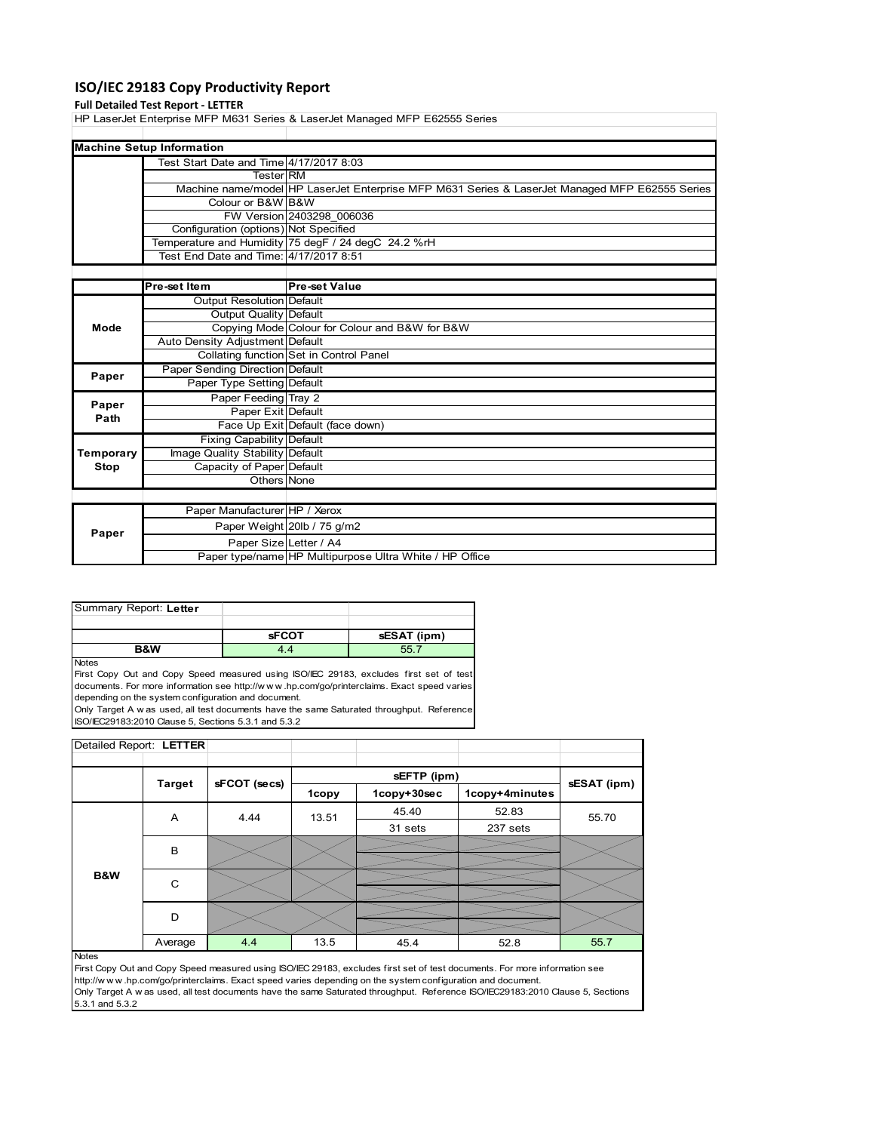# **ISO/IEC 29183 Copy Productivity Report**

# **Full Detailed Test Report ‐ LETTER**

HP LaserJet Enterprise MFP M631 Series & LaserJet Managed MFP E62555 Series

| <b>Machine Setup Information</b>        |                                                                                                |
|-----------------------------------------|------------------------------------------------------------------------------------------------|
| Test Start Date and Time 4/17/2017 8:03 |                                                                                                |
| <b>Tester RM</b>                        |                                                                                                |
|                                         | Machine name/model HP LaserJet Enterprise MFP M631 Series & LaserJet Managed MFP E62555 Series |
| Colour or B&W B&W                       |                                                                                                |
|                                         | FW Version 2403298 006036                                                                      |
| Configuration (options) Not Specified   |                                                                                                |
|                                         | Temperature and Humidity 75 degF / 24 degC 24.2 %rH                                            |
| Test End Date and Time: 4/17/2017 8:51  |                                                                                                |
|                                         |                                                                                                |
|                                         |                                                                                                |

|           | <b>Pre-set Item</b>             | <b>Pre-set Value</b>                                    |
|-----------|---------------------------------|---------------------------------------------------------|
|           | Output Resolution Default       |                                                         |
|           | Output Quality Default          |                                                         |
| Mode      |                                 | Copying Mode Colour for Colour and B&W for B&W          |
|           | Auto Density Adjustment Default |                                                         |
|           |                                 | Collating function Set in Control Panel                 |
| Paper     | Paper Sending Direction Default |                                                         |
|           | Paper Type Setting Default      |                                                         |
| Paper     | Paper Feeding Tray 2            |                                                         |
| Path      | Paper Exit Default              |                                                         |
|           |                                 | Face Up Exit Default (face down)                        |
|           | Fixing Capability Default       |                                                         |
| Temporary | Image Quality Stability Default |                                                         |
| Stop      | Capacity of Paper Default       |                                                         |
|           | Others None                     |                                                         |
|           |                                 |                                                         |
|           | Paper Manufacturer HP / Xerox   |                                                         |
| Paper     |                                 | Paper Weight 20lb / 75 g/m2                             |
|           | Paper Size Letter / A4          |                                                         |
|           |                                 | Paper type/name HP Multipurpose Ultra White / HP Office |

| Summary Report: Letter |              |             |
|------------------------|--------------|-------------|
|                        |              |             |
|                        |              |             |
|                        | <b>sFCOT</b> | sESAT (ipm) |

**Notes** 

First Copy Out and Copy Speed measured using ISO/IEC 29183, excludes first set of test documents. For more information see http://w w w .hp.com/go/printerclaims. Exact speed varies depending on the system configuration and document. Only Target A w as used, all test documents have the same Saturated throughput. Reference

ISO/IEC29183:2010 Clause 5, Sections 5.3.1 and 5.3.2

| Detailed Report: LETTER |               |              |       |             |                |             |
|-------------------------|---------------|--------------|-------|-------------|----------------|-------------|
|                         |               |              |       | sEFTP (ipm) |                |             |
|                         | <b>Target</b> | sFCOT (secs) | 1copy | 1copy+30sec | 1copy+4minutes | sESAT (ipm) |
|                         | A             | 4.44         | 13.51 | 45.40       | 52.83          | 55.70       |
|                         |               |              |       | 31 sets     | 237 sets       |             |
|                         | B             |              |       |             |                |             |
|                         |               |              |       |             |                |             |
| B&W                     | C             |              |       |             |                |             |
|                         |               |              |       |             |                |             |
|                         | D             |              |       |             |                |             |
|                         |               |              |       |             |                |             |
|                         | Average       | 4.4          | 13.5  | 45.4        | 52.8           | 55.7        |

#### **Notes**

First Copy Out and Copy Speed measured using ISO/IEC 29183, excludes first set of test documents. For more information see http://w w w .hp.com/go/printerclaims. Exact speed varies depending on the system configuration and document. Only Target A w as used, all test documents have the same Saturated throughput. Reference ISO/IEC29183:2010 Clause 5, Sections 5.3.1 and 5.3.2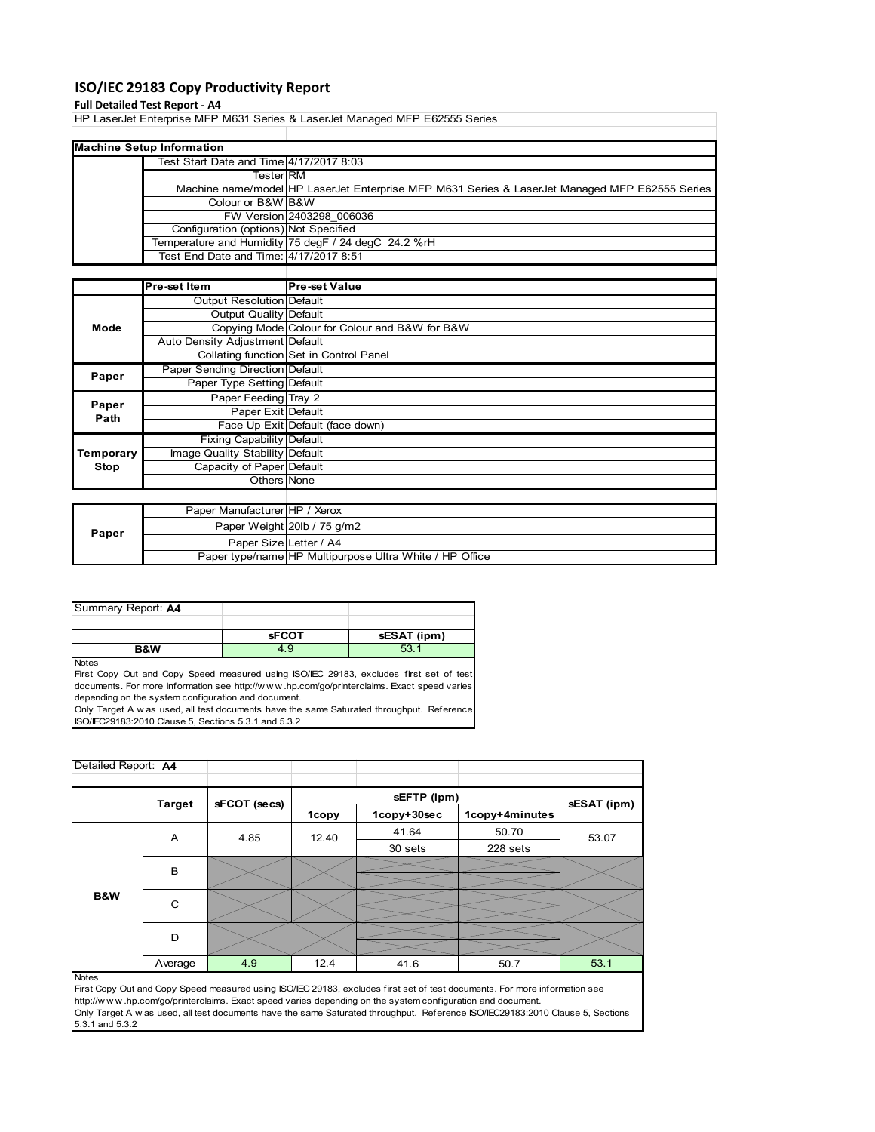# **ISO/IEC 29183 Copy Productivity Report**

### **Full Detailed Test Report ‐ A4**

HP LaserJet Enterprise MFP M631 Series & LaserJet Managed MFP E62555 Series

| <b>Machine Setup Information</b>        |                                                                                                |
|-----------------------------------------|------------------------------------------------------------------------------------------------|
| Test Start Date and Time 4/17/2017 8:03 |                                                                                                |
| <b>Tester</b> RM                        |                                                                                                |
|                                         | Machine name/model HP LaserJet Enterprise MFP M631 Series & LaserJet Managed MFP E62555 Series |
| Colour or B&W B&W                       |                                                                                                |
|                                         | FW Version 2403298 006036                                                                      |
| Configuration (options) Not Specified   |                                                                                                |
|                                         | Temperature and Humidity 75 degF / 24 degC 24.2 %rH                                            |
| Test End Date and Time: 4/17/2017 8:51  |                                                                                                |
|                                         |                                                                                                |

|           | Pre-set Item                     | <b>Pre-set Value</b>                                    |
|-----------|----------------------------------|---------------------------------------------------------|
|           | Output Resolution Default        |                                                         |
|           | Output Quality Default           |                                                         |
| Mode      |                                  | Copying Mode Colour for Colour and B&W for B&W          |
|           | Auto Density Adjustment Default  |                                                         |
|           |                                  | Collating function Set in Control Panel                 |
| Paper     | Paper Sending Direction Default  |                                                         |
|           | Paper Type Setting Default       |                                                         |
| Paper     | Paper Feeding Tray 2             |                                                         |
| Path      | Paper Exit Default               |                                                         |
|           |                                  | Face Up Exit Default (face down)                        |
|           | <b>Fixing Capability Default</b> |                                                         |
| Temporary | Image Quality Stability Default  |                                                         |
| Stop      | Capacity of Paper Default        |                                                         |
|           | Others None                      |                                                         |
|           |                                  |                                                         |
|           | Paper Manufacturer HP / Xerox    |                                                         |
| Paper     |                                  | Paper Weight 20lb / 75 g/m2                             |
|           | Paper Size Letter / A4           |                                                         |
|           |                                  | Paper type/name HP Multipurpose Ultra White / HP Office |

| Summary Report: A4 |              |             |
|--------------------|--------------|-------------|
|                    |              |             |
|                    | <b>sFCOT</b> | sESAT (ipm) |
| <b>B&amp;W</b>     | 4.9          | 53.1        |

Notes

First Copy Out and Copy Speed measured using ISO/IEC 29183, excludes first set of test documents. For more information see http://w w w .hp.com/go/printerclaims. Exact speed varies depending on the system configuration and document. Only Target A w as used, all test documents have the same Saturated throughput. Reference

ISO/IEC29183:2010 Clause 5, Sections 5.3.1 and 5.3.2

| Detailed Report: A4 |               |              |       |             |                |             |  |
|---------------------|---------------|--------------|-------|-------------|----------------|-------------|--|
|                     |               |              |       | sEFTP (ipm) |                |             |  |
|                     | <b>Target</b> | sFCOT (secs) | 1copy | 1copy+30sec | 1copy+4minutes | sESAT (ipm) |  |
|                     | A             | 4.85         | 12.40 | 41.64       | 50.70          | 53.07       |  |
|                     |               |              |       | 30 sets     | 228 sets       |             |  |
|                     | $\,$ B        |              |       |             |                |             |  |
| B&W                 | $\mathsf{C}$  |              |       |             |                |             |  |
|                     | D             |              |       |             |                |             |  |
|                     | Average       | 4.9          | 12.4  | 41.6        | 50.7           | 53.1        |  |
| <b>Notes</b>        |               |              |       |             |                |             |  |

First Copy Out and Copy Speed measured using ISO/IEC 29183, excludes first set of test documents. For more information see http://w w w .hp.com/go/printerclaims. Exact speed varies depending on the system configuration and document. Only Target A w as used, all test documents have the same Saturated throughput. Reference ISO/IEC29183:2010 Clause 5, Sections 5.3.1 and 5.3.2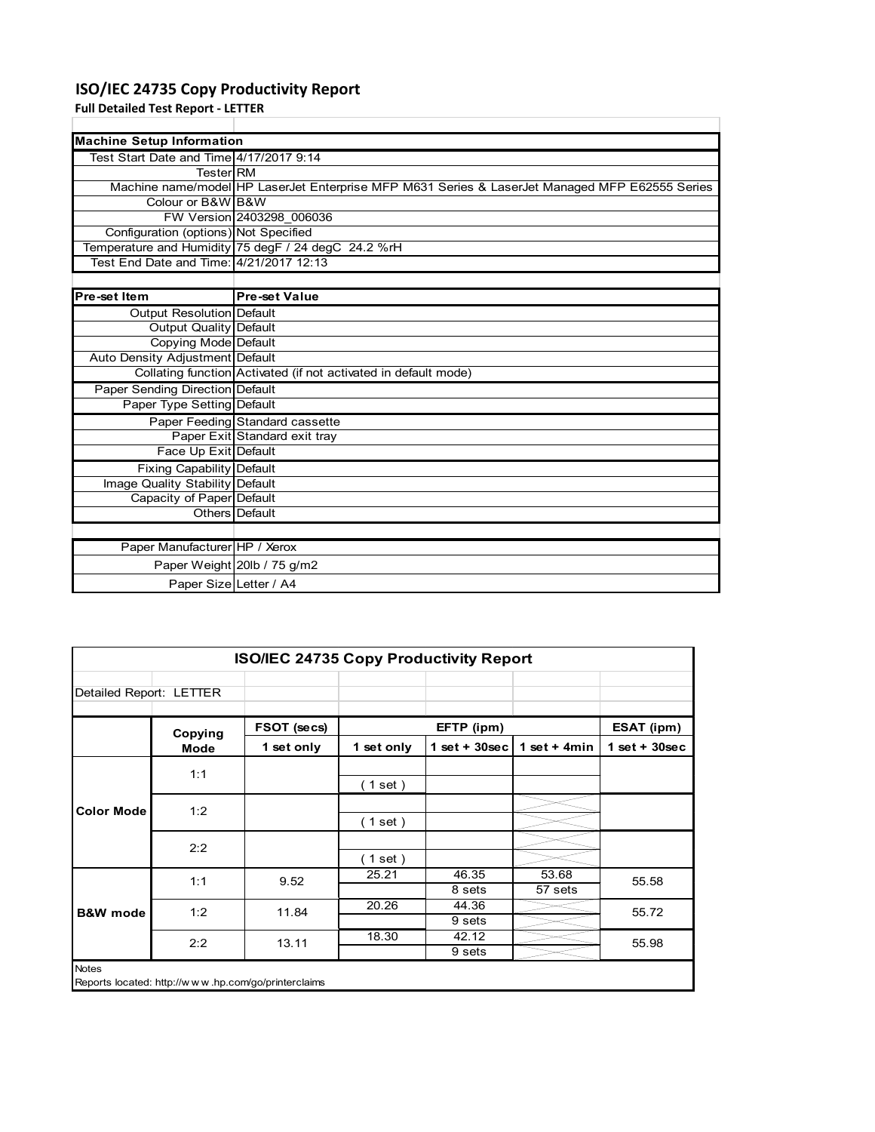# **ISO/IEC 24735 Copy Productivity Report**

**Full Detailed Test Report ‐ LETTER**

 $\mathbf l$ 

| <b>Machine Setup Information</b>        |                                                                                                |
|-----------------------------------------|------------------------------------------------------------------------------------------------|
| Test Start Date and Time 4/17/2017 9:14 |                                                                                                |
| TesterIRM                               |                                                                                                |
|                                         | Machine name/model HP LaserJet Enterprise MFP M631 Series & LaserJet Managed MFP E62555 Series |
| Colour or B&W B&W                       |                                                                                                |
|                                         | FW Version 2403298 006036                                                                      |
| Configuration (options) Not Specified   |                                                                                                |
|                                         | Temperature and Humidity 75 degF / 24 degC 24.2 %rH                                            |
| Test End Date and Time: 4/21/2017 12:13 |                                                                                                |
|                                         |                                                                                                |
| Pre-set Item                            | <b>Pre-set Value</b>                                                                           |
| Output Resolution Default               |                                                                                                |
| Output Quality Default                  |                                                                                                |
| Copying Mode Default                    |                                                                                                |
| Auto Density Adjustment Default         |                                                                                                |
|                                         | Collating function Activated (if not activated in default mode)                                |
| <b>Paper Sending Direction Default</b>  |                                                                                                |
| Paper Type Setting Default              |                                                                                                |
|                                         | Paper Feeding Standard cassette                                                                |
|                                         | Paper Exit Standard exit tray                                                                  |
| Face Up Exit Default                    |                                                                                                |
| Fixing Capability Default               |                                                                                                |
| Image Quality Stability Default         |                                                                                                |
| Capacity of Paper Default               |                                                                                                |
|                                         | Others Default                                                                                 |
|                                         |                                                                                                |
| Paper Manufacturer HP / Xerox           |                                                                                                |
|                                         | Paper Weight 20lb / 75 g/m2                                                                    |
| Paper Size Letter / A4                  |                                                                                                |

|                         | ISO/IEC 24735 Copy Productivity Report |                                                     |            |                 |                  |                 |  |  |  |
|-------------------------|----------------------------------------|-----------------------------------------------------|------------|-----------------|------------------|-----------------|--|--|--|
| Detailed Report: LETTER |                                        |                                                     |            |                 |                  |                 |  |  |  |
|                         | Copying                                | FSOT (secs)                                         |            | EFTP (ipm)      |                  | ESAT (ipm)      |  |  |  |
|                         | Mode                                   | 1 set only                                          | 1 set only | $1$ set + 30sec | 1 set $+$ 4min   | $1$ set + 30sec |  |  |  |
|                         | 1:1                                    |                                                     | (1 set)    |                 |                  |                 |  |  |  |
| <b>Color Mode</b>       | 1:2                                    |                                                     | (1 set)    |                 |                  |                 |  |  |  |
|                         | 2:2                                    |                                                     | $1$ set)   |                 |                  |                 |  |  |  |
|                         | 1:1                                    | 9.52                                                | 25.21      | 46.35<br>8 sets | 53.68<br>57 sets | 55.58           |  |  |  |
| <b>B&amp;W</b> mode     | 1:2                                    | 11.84                                               | 20.26      | 44.36<br>9 sets |                  | 55.72           |  |  |  |
|                         | 2:2                                    | 13.11                                               | 18.30      | 42.12<br>9 sets |                  | 55.98           |  |  |  |
| <b>Notes</b>            |                                        | Reports located: http://www.hp.com/go/printerclaims |            |                 |                  |                 |  |  |  |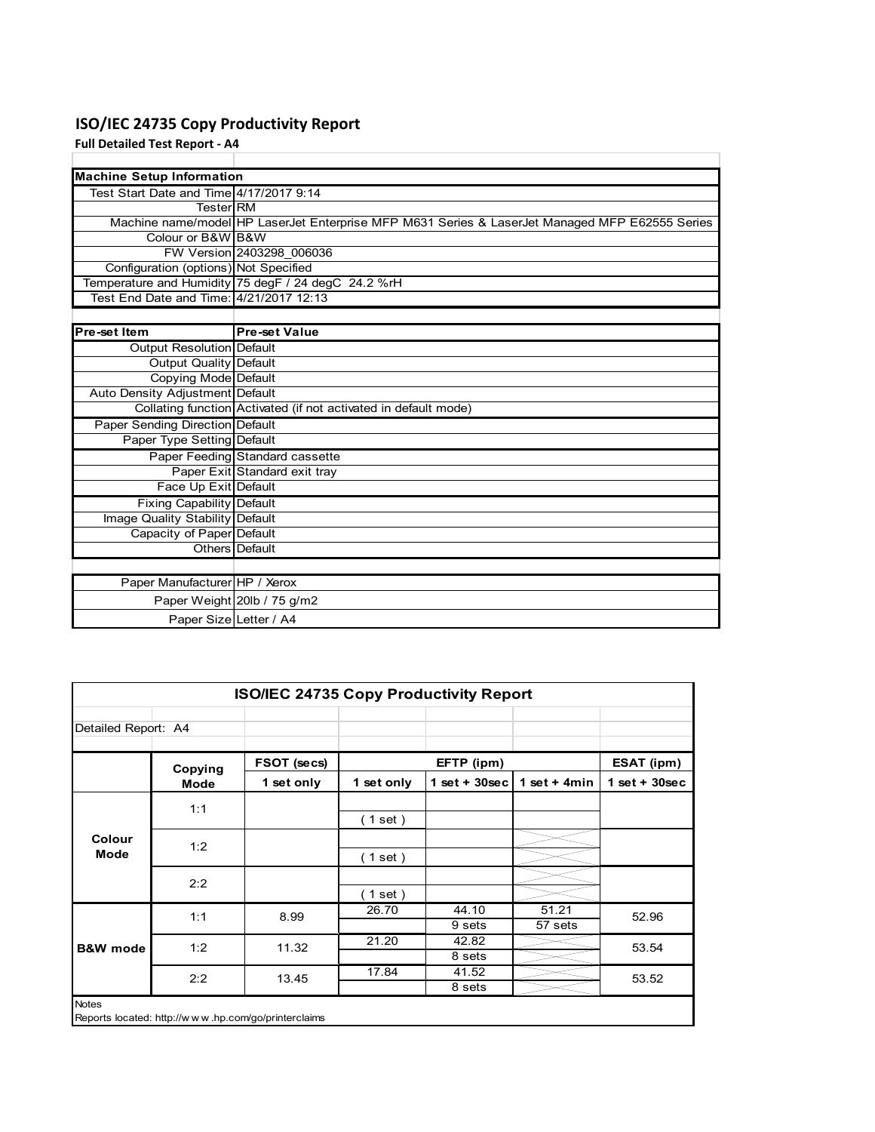# **ISO/IEC 24735 Copy Productivity Report**

**Full Detailed Test Report ‐ A4**

| <b>Machine Setup Information</b>        |                                                                                                |
|-----------------------------------------|------------------------------------------------------------------------------------------------|
| Test Start Date and Time 4/17/2017 9:14 |                                                                                                |
| <b>Tester</b> RM                        |                                                                                                |
|                                         | Machine name/model HP LaserJet Enterprise MFP M631 Series & LaserJet Managed MFP E62555 Series |
| Colour or B&W B&W                       |                                                                                                |
|                                         | FW Version 2403298 006036                                                                      |
| Configuration (options) Not Specified   |                                                                                                |
|                                         | Temperature and Humidity 75 degF / 24 degC 24.2 %rH                                            |
| Test End Date and Time: 4/21/2017 12:13 |                                                                                                |
|                                         |                                                                                                |
| Pre-set Item                            | <b>Pre-set Value</b>                                                                           |
| Output Resolution Default               |                                                                                                |
| Output Quality Default                  |                                                                                                |
| Copying Mode Default                    |                                                                                                |
| Auto Density Adjustment Default         |                                                                                                |
|                                         | Collating function Activated (if not activated in default mode)                                |
| Paper Sending Direction Default         |                                                                                                |
| Paper Type Setting Default              |                                                                                                |
|                                         | Paper Feeding Standard cassette                                                                |
|                                         | Paper Exit Standard exit tray                                                                  |
| Face Up Exit Default                    |                                                                                                |
| Fixing Capability Default               |                                                                                                |
| Image Quality Stability Default         |                                                                                                |
| Capacity of Paper Default               |                                                                                                |
|                                         | Others Default                                                                                 |
|                                         |                                                                                                |
| Paper Manufacturer HP / Xerox           |                                                                                                |
|                                         | Paper Weight 20lb / 75 g/m2                                                                    |
| Paper Size Letter / A4                  |                                                                                                |

| <b>ISO/IEC 24735 Copy Productivity Report</b> |             |                                                     |            |                 |                  |                 |  |  |
|-----------------------------------------------|-------------|-----------------------------------------------------|------------|-----------------|------------------|-----------------|--|--|
| Detailed Report: A4                           |             |                                                     |            |                 |                  |                 |  |  |
|                                               | Copying     | FSOT (secs)                                         |            | EFTP (ipm)      |                  | ESAT (ipm)      |  |  |
|                                               | <b>Mode</b> | 1 set only                                          | 1 set only | $1$ set + 30sec | 1 set + $4min$   | $1$ set + 30sec |  |  |
|                                               | 1:1         |                                                     | $1$ set)   |                 |                  |                 |  |  |
| Colour<br>Mode                                | 1:2         |                                                     | $1$ set)   |                 |                  |                 |  |  |
|                                               | 2:2         |                                                     | $1$ set)   |                 |                  |                 |  |  |
|                                               | 1:1         | 8.99                                                | 26.70      | 44.10<br>9 sets | 51.21<br>57 sets | 52.96           |  |  |
| <b>B&amp;W</b> mode                           | 1:2         | 11.32                                               | 21.20      | 42.82<br>8 sets |                  | 53.54           |  |  |
|                                               | 2:2         | 13.45                                               | 17.84      | 41.52<br>8 sets |                  | 53.52           |  |  |
| <b>Notes</b>                                  |             | Reports located: http://www.hp.com/go/printerclaims |            |                 |                  |                 |  |  |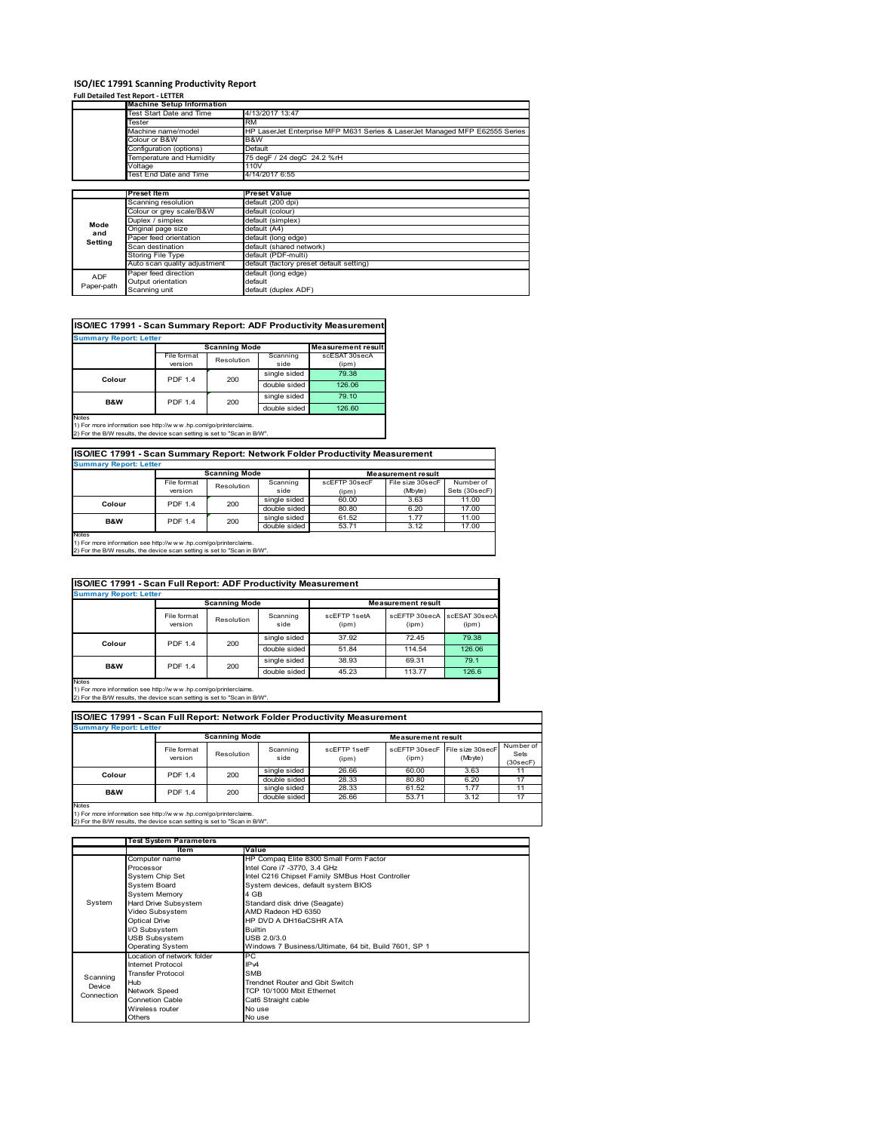# **ISO/IEC 17991 Scanning Productivity Report**

| <b>Full Detailed Test Report - LETTER</b> |  |  |  |
|-------------------------------------------|--|--|--|
|                                           |  |  |  |

|            | <b>Machine Setup Information</b> |                                                                             |
|------------|----------------------------------|-----------------------------------------------------------------------------|
|            | Test Start Date and Time         | 4/13/2017 13:47                                                             |
|            | Tester                           | <b>RM</b>                                                                   |
|            | Machine name/model               | HP LaserJet Enterprise MFP M631 Series & LaserJet Managed MFP E62555 Series |
|            | Colour or B&W                    | B&W                                                                         |
|            | Configuration (options)          | Default                                                                     |
|            | Temperature and Humidity         | 75 degF / 24 degC 24.2 %rH                                                  |
|            | Voltage                          | 110V                                                                        |
|            | <b>Test End Date and Time</b>    | 4/14/2017 6:55                                                              |
|            |                                  |                                                                             |
|            | <b>Preset Item</b>               | <b>Preset Value</b>                                                         |
|            | Scanning resolution              | default (200 dpi)                                                           |
|            | Colour or grey scale/B&W         | default (colour)                                                            |
| Mode       | Duplex / simplex                 | default (simplex)                                                           |
| and        | Original page size               | default (A4)                                                                |
| Setting    | Paper feed orientation           | default (long edge)                                                         |
|            | Scan destination                 | default (shared network)                                                    |
|            | Storing File Type                | default (PDF-multi)                                                         |
|            | Auto scan quality adjustment     | default (factory preset default setting)                                    |
| <b>ADF</b> | Paper feed direction             | default (long edge)                                                         |
|            | Output orientation               | default                                                                     |
| Paper-path | Scanning unit                    | default (duplex ADF)                                                        |

# **ISO/IEC 17991 - Scan Summary Report: ADF Productivity Measurement**

|                |                | <b>Scanning Mode</b> |              | <b>Measurement result</b> |
|----------------|----------------|----------------------|--------------|---------------------------|
|                | File format    | Resolution           | Scanning     | scESAT 30secA             |
|                | version        |                      | side         | (ipm)                     |
| Colour         | <b>PDF 1.4</b> | 200                  | single sided | 79.38                     |
|                |                |                      | double sided | 126.06                    |
| <b>B&amp;W</b> | <b>PDF 1.4</b> | 200                  | single sided | 79.10                     |
|                |                |                      | double sided | 126.60                    |

1) For more information see http://w w w .hp.com/go/printerclaims. 2) For the B/W results, the device scan setting is set to "Scan in B/W".

# **ISO/IEC 17991 - Scan Summary Report: Network Folder Productivity Measurement**

| <b>Summary Report: Letter</b> |                       |              |                       |                           |                  |               |  |  |
|-------------------------------|-----------------------|--------------|-----------------------|---------------------------|------------------|---------------|--|--|
|                               | <b>Scanning Mode</b>  |              |                       | <b>Measurement result</b> |                  |               |  |  |
|                               | File format           | Resolution   | Scanning              | scEFTP 30secF             | File size 30secF | Number of     |  |  |
|                               | version               |              | side                  | (ipm)                     | (Mbyte)          | Sets (30secF) |  |  |
| Colour                        | 200<br><b>PDF 1.4</b> | single sided | 60.00                 | 3.63                      | 11.00            |               |  |  |
|                               |                       |              | double sided          | 80.80                     | 6.20             | 17.00         |  |  |
| B&W                           | <b>PDF 1.4</b>        | 200          | single sided          | 61.52                     | 1.77             | 11.00         |  |  |
|                               |                       |              | double sided<br>53.71 |                           | 3.12             | 17.00         |  |  |
| Notes                         |                       |              |                       |                           |                  |               |  |  |

Notes 1) For more information see http://w w w .hp.com/go/printerclaims. 2) For the B/W results, the device scan setting is set to "Scan in B/W".

| ISO/IEC 17991 - Scan Full Report: ADF Productivity Measurement |                        |              |                  |                           |                                      |       |  |  |  |
|----------------------------------------------------------------|------------------------|--------------|------------------|---------------------------|--------------------------------------|-------|--|--|--|
| <b>Summary Report: Letter</b>                                  |                        |              |                  |                           |                                      |       |  |  |  |
|                                                                | <b>Scanning Mode</b>   |              |                  | <b>Measurement result</b> |                                      |       |  |  |  |
|                                                                | File format<br>version | Resolution   | Scanning<br>side | scFFTP 1setA<br>(ipm)     | scEFTP 30secA scESAT 30secA<br>(ipm) | (ipm) |  |  |  |
| Colour                                                         | 200<br><b>PDF 1.4</b>  |              | single sided     | 37.92                     | 72.45                                | 79.38 |  |  |  |
|                                                                |                        | double sided | 51.84            | 114.54                    | 126.06                               |       |  |  |  |
| B&W                                                            | <b>PDF 1.4</b><br>200  |              | single sided     | 38.93                     | 69.31                                | 79.1  |  |  |  |
|                                                                |                        | double sided | 45.23            | 113.77                    | 126.6                                |       |  |  |  |

Notes 1) For more information see http://w w w .hp.com/go/printerclaims. 2) For the B/W results, the device scan setting is set to "Scan in B/W".

| <b>Summary Report: Letter</b>                                                                                                               |                        |                      |                  |                       |                           |                             |                               |  |  |
|---------------------------------------------------------------------------------------------------------------------------------------------|------------------------|----------------------|------------------|-----------------------|---------------------------|-----------------------------|-------------------------------|--|--|
|                                                                                                                                             |                        | <b>Scanning Mode</b> |                  |                       | <b>Measurement result</b> |                             |                               |  |  |
|                                                                                                                                             | File format<br>version | Resolution           | Scanning<br>side | scFFTP 1setF<br>(ipm) | scFFTP 30secF<br>(ipm)    | File size 30secF<br>(Mbyte) | Number of<br>Sets<br>(30secF) |  |  |
| Colour                                                                                                                                      | <b>PDF 1.4</b>         | 200                  | single sided     | 26.66                 | 60.00                     | 3.63                        | 11                            |  |  |
|                                                                                                                                             |                        |                      | double sided     | 28.33                 | 80.80                     | 6.20                        | 17                            |  |  |
| B&W                                                                                                                                         | <b>PDF 1.4</b>         | 200                  | single sided     | 28.33                 | 61.52                     | 1.77                        | 11                            |  |  |
|                                                                                                                                             |                        | double sided         | 26.66            | 53.71                 | 3.12                      | 17                          |                               |  |  |
| <b>Notes</b>                                                                                                                                |                        |                      |                  |                       |                           |                             |                               |  |  |
| 1) For more information see http://www.hp.com/go/printerclaims.<br>2) For the B/W results, the device scan setting is set to "Scan in B/W". |                        |                      |                  |                       |                           |                             |                               |  |  |

|                      | <b>Test System Parameters</b> |                                                       |  |  |
|----------------------|-------------------------------|-------------------------------------------------------|--|--|
|                      | <b>Item</b>                   | Value                                                 |  |  |
|                      | Computer name                 | HP Compaq Elite 8300 Small Form Factor                |  |  |
|                      | Processor                     | Intel Core i7 -3770, 3.4 GHz                          |  |  |
|                      | System Chip Set               | Intel C216 Chipset Family SMBus Host Controller       |  |  |
|                      | <b>System Board</b>           | System devices, default system BIOS                   |  |  |
|                      | <b>System Memory</b>          | 4 GB                                                  |  |  |
| System               | Hard Drive Subsystem          | Standard disk drive (Seagate)                         |  |  |
|                      | Video Subsystem               | AMD Radeon HD 6350                                    |  |  |
|                      | Optical Drive                 | HP DVD A DH16aCSHR ATA                                |  |  |
|                      | I/O Subsystem                 | <b>Builtin</b>                                        |  |  |
|                      | <b>USB Subsystem</b>          | USB 2.0/3.0                                           |  |  |
|                      | <b>Operating System</b>       | Windows 7 Business/Ultimate, 64 bit, Build 7601, SP 1 |  |  |
|                      | Location of network folder    | PC                                                    |  |  |
|                      | Internet Protocol             | IP <sub>v4</sub>                                      |  |  |
| Scanning             | <b>Transfer Protocol</b>      | <b>SMB</b>                                            |  |  |
| Device<br>Connection | Hub                           | Trendnet Router and Gbit Switch                       |  |  |
|                      | Network Speed                 | TCP 10/1000 Mbit Ethernet                             |  |  |
|                      | <b>Connetion Cable</b>        | Cat6 Straight cable                                   |  |  |
|                      | Wireless router               | No use                                                |  |  |
|                      | <b>Others</b>                 | No use                                                |  |  |